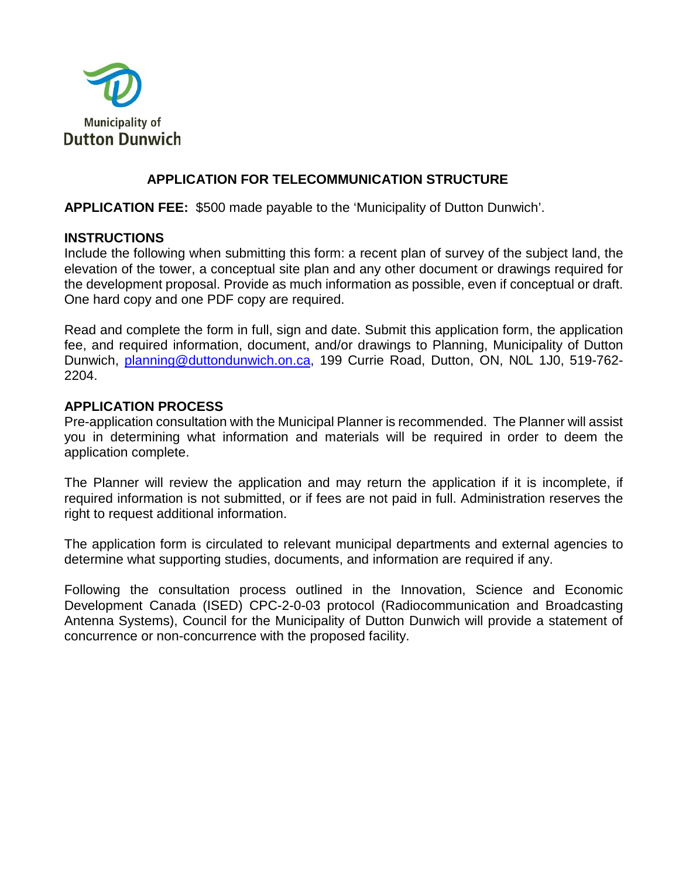

### **APPLICATION FOR TELECOMMUNICATION STRUCTURE**

**APPLICATION FEE:** \$500 made payable to the 'Municipality of Dutton Dunwich'.

#### **INSTRUCTIONS**

Include the following when submitting this form: a recent plan of survey of the subject land, the elevation of the tower, a conceptual site plan and any other document or drawings required for the development proposal. Provide as much information as possible, even if conceptual or draft. One hard copy and one PDF copy are required.

Read and complete the form in full, sign and date. Submit this application form, the application fee, and required information, document, and/or drawings to Planning, Municipality of Dutton Dunwich, [planning@duttondunwich.on.ca,](mailto:planning@duttondunwich.on.ca) 199 Currie Road, Dutton, ON, N0L 1J0, 519-762- 2204.

#### **APPLICATION PROCESS**

Pre-application consultation with the Municipal Planner is recommended. The Planner will assist you in determining what information and materials will be required in order to deem the application complete.

The Planner will review the application and may return the application if it is incomplete, if required information is not submitted, or if fees are not paid in full. Administration reserves the right to request additional information.

The application form is circulated to relevant municipal departments and external agencies to determine what supporting studies, documents, and information are required if any.

Following the consultation process outlined in the Innovation, Science and Economic Development Canada (ISED) CPC-2-0-03 protocol (Radiocommunication and Broadcasting Antenna Systems), Council for the Municipality of Dutton Dunwich will provide a statement of concurrence or non-concurrence with the proposed facility.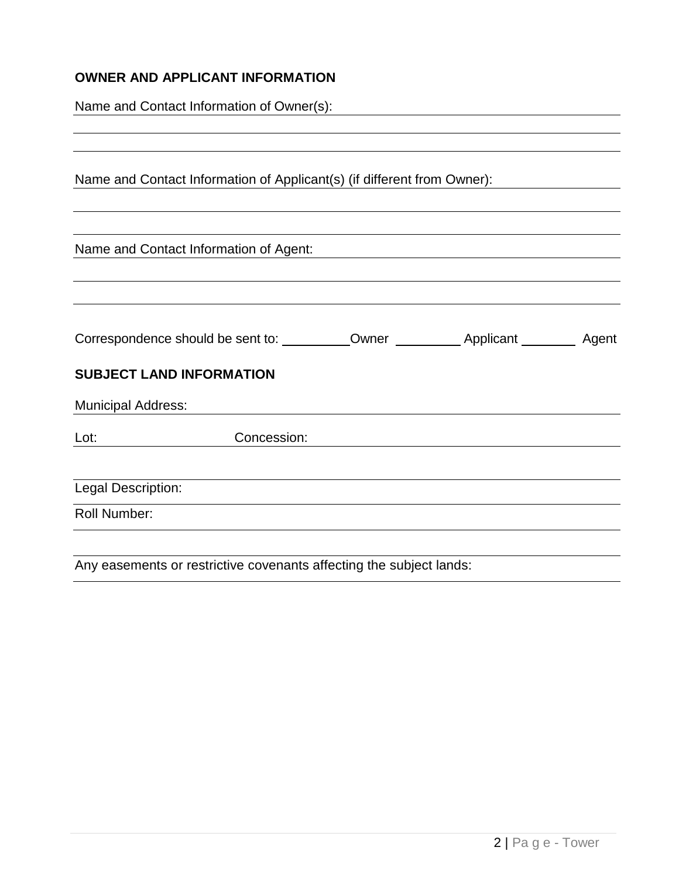# **OWNER AND APPLICANT INFORMATION**

Name and Contact Information of Owner(s):

|                                 | Name and Contact Information of Applicant(s) (if different from Owner): |  |  |
|---------------------------------|-------------------------------------------------------------------------|--|--|
|                                 | Name and Contact Information of Agent:                                  |  |  |
|                                 |                                                                         |  |  |
|                                 |                                                                         |  |  |
| <b>SUBJECT LAND INFORMATION</b> |                                                                         |  |  |
| <b>Municipal Address:</b>       |                                                                         |  |  |
| Lot:                            | Concession:                                                             |  |  |
| Legal Description:              |                                                                         |  |  |
| Roll Number:                    |                                                                         |  |  |
|                                 | Any easements or restrictive covenants affecting the subject lands:     |  |  |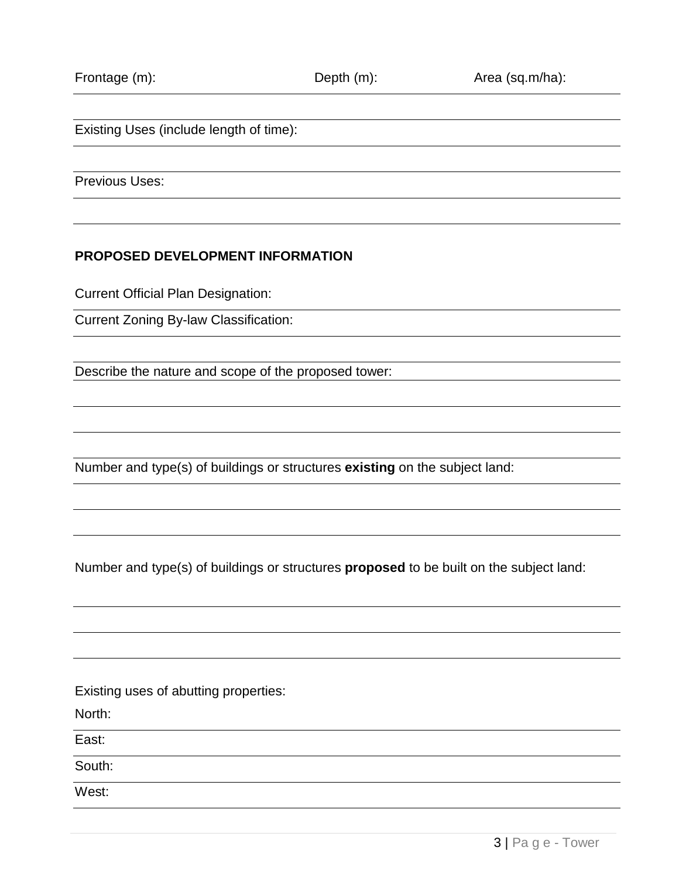Existing Uses (include length of time):

Previous Uses:

#### **PROPOSED DEVELOPMENT INFORMATION**

Current Official Plan Designation:

Current Zoning By-law Classification:

Describe the nature and scope of the proposed tower:

Number and type(s) of buildings or structures **existing** on the subject land:

Number and type(s) of buildings or structures **proposed** to be built on the subject land:

Existing uses of abutting properties:

North:

East:

South:

West: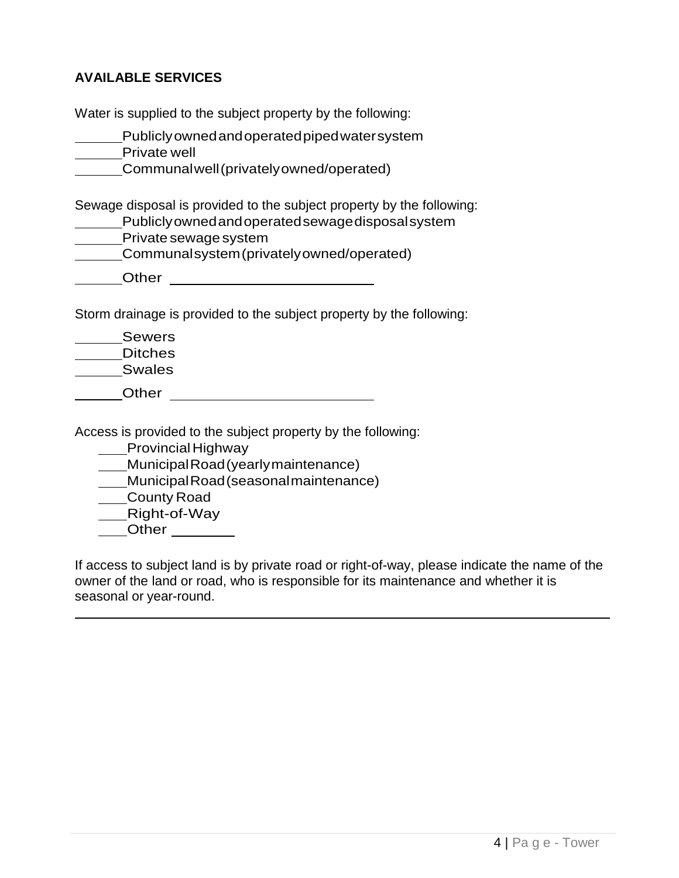## **AVAILABLE SERVICES**

Water is supplied to the subject property by the following:

| Publiclyowned and operated piped water system<br>Private well                                                                                                                                    |
|--------------------------------------------------------------------------------------------------------------------------------------------------------------------------------------------------|
| Communal well (privately owned/operated)                                                                                                                                                         |
| Sewage disposal is provided to the subject property by the following:<br>Publiclyowned and operated sewage disposal system<br>Private sewage system<br>Communalsystem (privately owned/operated) |
| ner                                                                                                                                                                                              |

Storm drainage is provided to the subject property by the following:

| <b>Sewers</b>  |  |
|----------------|--|
| <b>Ditches</b> |  |
| <b>Swales</b>  |  |
| Other          |  |

Access is provided to the subject property by the following:

**Provincial Highway** 

MunicipalRoad(yearlymaintenance)

MunicipalRoad(seasonalmaintenance)

County Road

Right-of-Way

\_\_Other \_\_\_\_\_\_\_

If access to subject land is by private road or right-of-way, please indicate the name of the owner of the land or road, who is responsible for its maintenance and whether it is seasonal or year-round.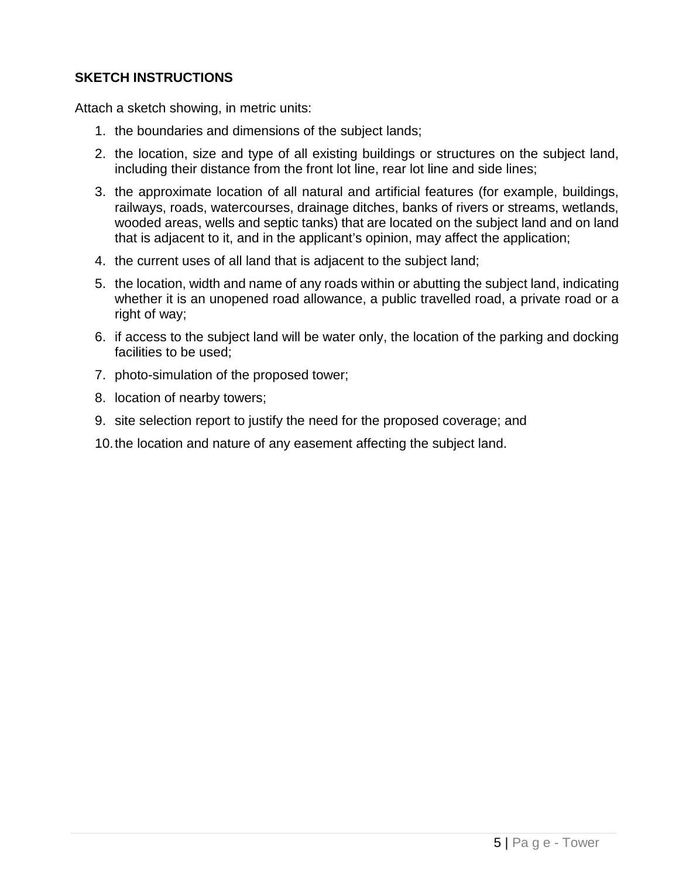## **SKETCH INSTRUCTIONS**

Attach a sketch showing, in metric units:

- 1. the boundaries and dimensions of the subject lands;
- 2. the location, size and type of all existing buildings or structures on the subject land, including their distance from the front lot line, rear lot line and side lines;
- 3. the approximate location of all natural and artificial features (for example, buildings, railways, roads, watercourses, drainage ditches, banks of rivers or streams, wetlands, wooded areas, wells and septic tanks) that are located on the subject land and on land that is adjacent to it, and in the applicant's opinion, may affect the application;
- 4. the current uses of all land that is adjacent to the subject land;
- 5. the location, width and name of any roads within or abutting the subject land, indicating whether it is an unopened road allowance, a public travelled road, a private road or a right of way;
- 6. if access to the subject land will be water only, the location of the parking and docking facilities to be used;
- 7. photo-simulation of the proposed tower;
- 8. location of nearby towers;
- 9. site selection report to justify the need for the proposed coverage; and
- 10.the location and nature of any easement affecting the subject land.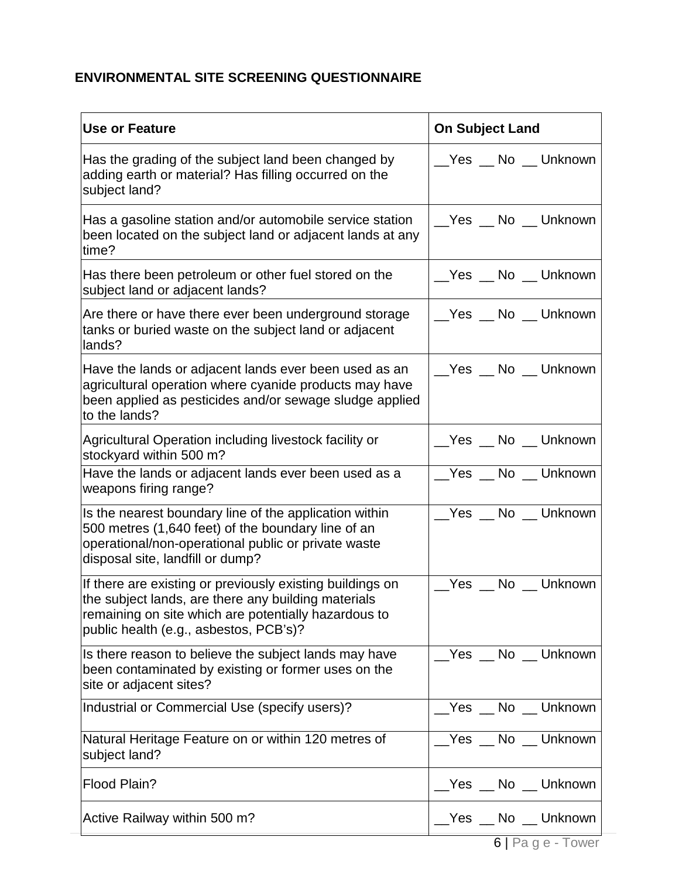# **ENVIRONMENTAL SITE SCREENING QUESTIONNAIRE**

| <b>Use or Feature</b>                                                                                                                                                                                              | <b>On Subject Land</b>   |
|--------------------------------------------------------------------------------------------------------------------------------------------------------------------------------------------------------------------|--------------------------|
| Has the grading of the subject land been changed by<br>adding earth or material? Has filling occurred on the<br>subject land?                                                                                      | __Yes __ No __ Unknown   |
| Has a gasoline station and/or automobile service station<br>been located on the subject land or adjacent lands at any<br>time?                                                                                     | Yes _No _Unknown         |
| Has there been petroleum or other fuel stored on the<br>subject land or adjacent lands?                                                                                                                            | __Yes __ No __ Unknown   |
| Are there or have there ever been underground storage<br>tanks or buried waste on the subject land or adjacent<br>lands?                                                                                           | __Yes __ No __ Unknown   |
| Have the lands or adjacent lands ever been used as an<br>agricultural operation where cyanide products may have<br>been applied as pesticides and/or sewage sludge applied<br>to the lands?                        | __Yes __ No __ Unknown   |
| Agricultural Operation including livestock facility or<br>stockyard within 500 m?                                                                                                                                  | __Yes __ No __ Unknown   |
| Have the lands or adjacent lands ever been used as a<br>weapons firing range?                                                                                                                                      | Yes No Unknown           |
| Is the nearest boundary line of the application within<br>500 metres (1,640 feet) of the boundary line of an<br>operational/non-operational public or private waste<br>disposal site, landfill or dump?            | Yes No Unknown           |
| If there are existing or previously existing buildings on<br>the subject lands, are there any building materials<br>remaining on site which are potentially hazardous to<br>public health (e.g., asbestos, PCB's)? | Yes No Unknown           |
| Is there reason to believe the subject lands may have<br>been contaminated by existing or former uses on the<br>site or adjacent sites?                                                                            | No Unknown<br>Yes $\_\_$ |
| Industrial or Commercial Use (specify users)?                                                                                                                                                                      | Yes No Unknown           |
| Natural Heritage Feature on or within 120 metres of<br>subject land?                                                                                                                                               | Yes No Unknown           |
| Flood Plain?                                                                                                                                                                                                       | Yes No Unknown           |
| Active Railway within 500 m?                                                                                                                                                                                       | __Yes __ No __ Unknown   |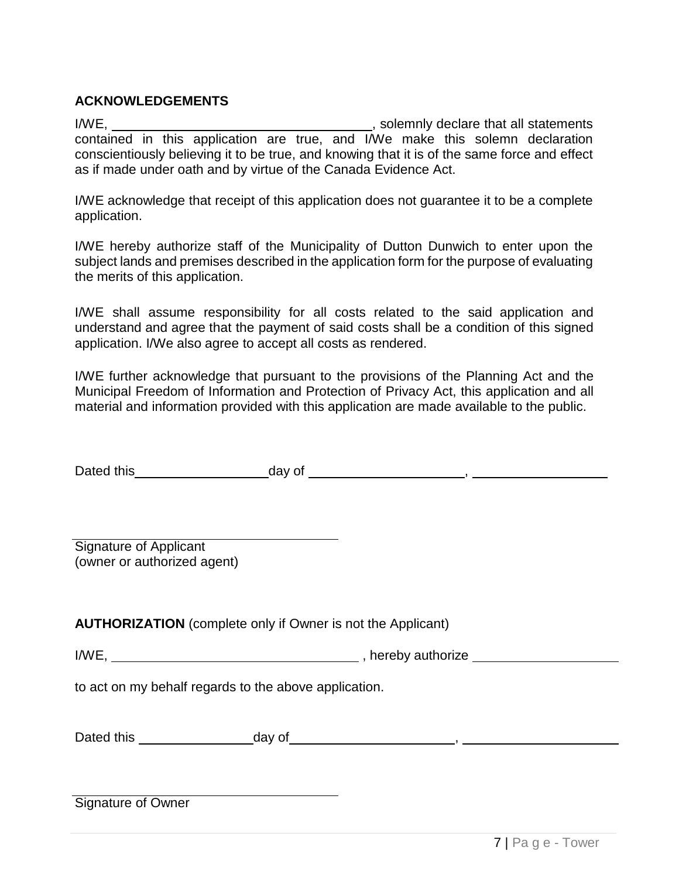## **ACKNOWLEDGEMENTS**

I/WE, , solemnly declare that all statements contained in this application are true, and I/We make this solemn declaration conscientiously believing it to be true, and knowing that it is of the same force and effect as if made under oath and by virtue of the Canada Evidence Act.

I/WE acknowledge that receipt of this application does not guarantee it to be a complete application.

I/WE hereby authorize staff of the Municipality of Dutton Dunwich to enter upon the subject lands and premises described in the application form for the purpose of evaluating the merits of this application.

I/WE shall assume responsibility for all costs related to the said application and understand and agree that the payment of said costs shall be a condition of this signed application. I/We also agree to accept all costs as rendered.

I/WE further acknowledge that pursuant to the provisions of the Planning Act and the Municipal Freedom of Information and Protection of Privacy Act, this application and all material and information provided with this application are made available to the public.

| Dated this | day of |  |
|------------|--------|--|
|------------|--------|--|

Signature of Applicant (owner or authorized agent)

**AUTHORIZATION** (complete only if Owner is not the Applicant)

I/WE, Morely authorize Manuscripture of the state of the state of the state of the state of the state of the state of the state of the state of the state of the state of the state of the state of the state of the state of

to act on my behalf regards to the above application.

Dated this day of ,

Signature of Owner